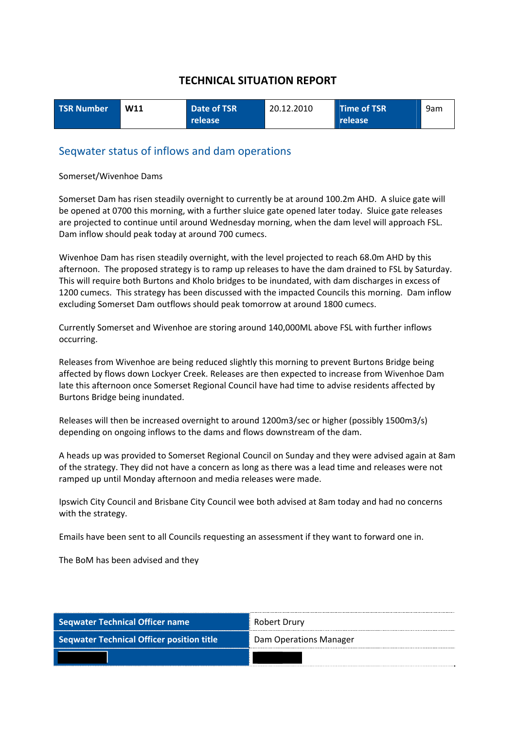| <b>TSR Number</b> | W11 | Date of TSR | 20.12.2010 | Time of TSR | 9am |
|-------------------|-----|-------------|------------|-------------|-----|
|                   |     | release     |            | release     |     |

#### Seqwater status of inflows and dam operations

#### Somerset/Wivenhoe Dams

Somerset Dam has risen steadily overnight to currently be at around 100.2m AHD. A sluice gate will be opened at 0700 this morning, with a further sluice gate opened later today. Sluice gate releases are projected to continue until around Wednesday morning, when the dam level will approach FSL. Dam inflow should peak today at around 700 cumecs.

Wivenhoe Dam has risen steadily overnight, with the level projected to reach 68.0m AHD by this afternoon. The proposed strategy is to ramp up releases to have the dam drained to FSL by Saturday. This will require both Burtons and Kholo bridges to be inundated, with dam discharges in excess of 1200 cumecs. This strategy has been discussed with the impacted Councils this morning. Dam inflow excluding Somerset Dam outflows should peak tomorrow at around 1800 cumecs.

Currently Somerset and Wivenhoe are storing around 140,000ML above FSL with further inflows occurring.

Releases from Wivenhoe are being reduced slightly this morning to prevent Burtons Bridge being affected by flows down Lockyer Creek. Releases are then expected to increase from Wivenhoe Dam late this afternoon once Somerset Regional Council have had time to advise residents affected by Burtons Bridge being inundated.

Releases will then be increased overnight to around 1200m3/sec or higher (possibly 1500m3/s) depending on ongoing inflows to the dams and flows downstream of the dam.

A heads up was provided to Somerset Regional Council on Sunday and they were advised again at 8am of the strategy. They did not have a concern as long as there was a lead time and releases were not ramped up until Monday afternoon and media releases were made.

Ipswich City Council and Brisbane City Council wee both advised at 8am today and had no concerns with the strategy.

Emails have been sent to all Councils requesting an assessment if they want to forward one in.

The BoM has been advised and they

| Seqwater Technical Officer name                  | Robert Drury           |  |
|--------------------------------------------------|------------------------|--|
| <b>Seqwater Technical Officer position title</b> | Dam Operations Manager |  |
|                                                  |                        |  |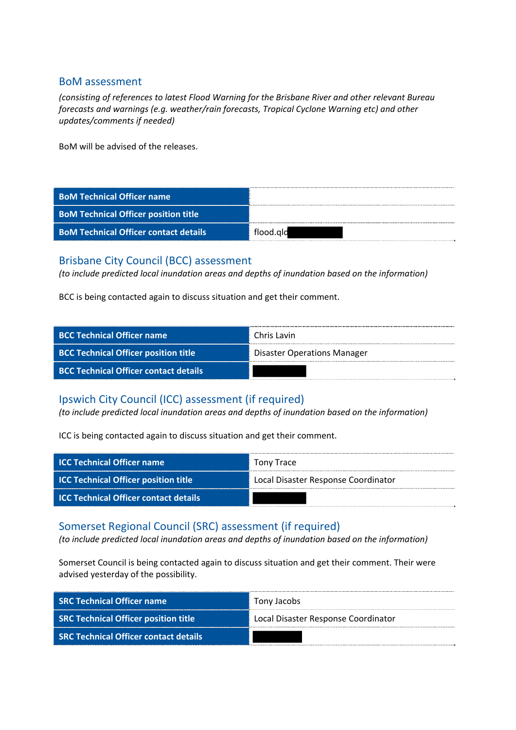#### BoM assessment

*(consisting of references to latest Flood Warning for the Brisbane River and other relevant Bureau forecasts and warnings (e.g. weather/rain forecasts, Tropical Cyclone Warning etc) and other updates/comments if needed)*

BoM will be advised of the releases.

| <b>BoM Technical Officer name</b>            |           |
|----------------------------------------------|-----------|
| <b>BoM Technical Officer position title</b>  |           |
| <b>BoM Technical Officer contact details</b> | flood.ald |

#### Brisbane City Council (BCC) assessment

*(to include predicted local inundation areas and depths of inundation based on the information)*

BCC is being contacted again to discuss situation and get their comment.

| <b>BCC Technical Officer name</b>            | Chris Lavin                        |
|----------------------------------------------|------------------------------------|
| <b>BCC Technical Officer position title</b>  | <b>Disaster Operations Manager</b> |
| <b>BCC Technical Officer contact details</b> |                                    |

### Ipswich City Council (ICC) assessment (if required)

*(to include predicted local inundation areas and depths of inundation based on the information)*

ICC is being contacted again to discuss situation and get their comment.

| <b>ICC Technical Officer name</b>            | Tony Trace                          |
|----------------------------------------------|-------------------------------------|
| <b>ICC Technical Officer position title</b>  | Local Disaster Response Coordinator |
| <b>ICC Technical Officer contact details</b> |                                     |

#### Somerset Regional Council (SRC) assessment (if required)

*(to include predicted local inundation areas and depths of inundation based on the information)*

Somerset Council is being contacted again to discuss situation and get their comment. Their were advised yesterday of the possibility.

| <b>SRC Technical Officer name</b>            | Tony Jacobs                         |
|----------------------------------------------|-------------------------------------|
| <b>SRC Technical Officer position title</b>  | Local Disaster Response Coordinator |
| <b>SRC Technical Officer contact details</b> |                                     |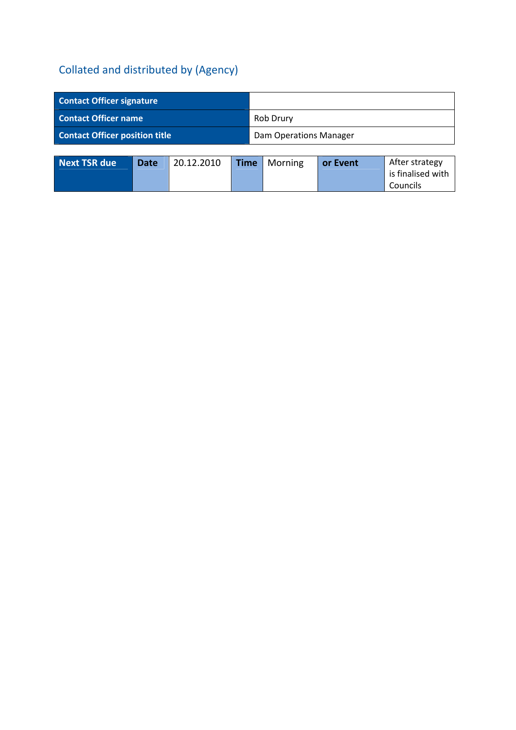| <b>Contact Officer signature</b>      |                               |
|---------------------------------------|-------------------------------|
| <b>Contact Officer name</b>           | Rob Drury                     |
| <b>Contact Officer position title</b> | <b>Dam Operations Manager</b> |

| <b>Next TSR due</b> | Date <sup>1</sup> | 20.12.2010 | <b>Time</b>   Morning | or Event | After strategy    |
|---------------------|-------------------|------------|-----------------------|----------|-------------------|
|                     |                   |            |                       |          | is finalised with |
|                     |                   |            |                       |          | Councils          |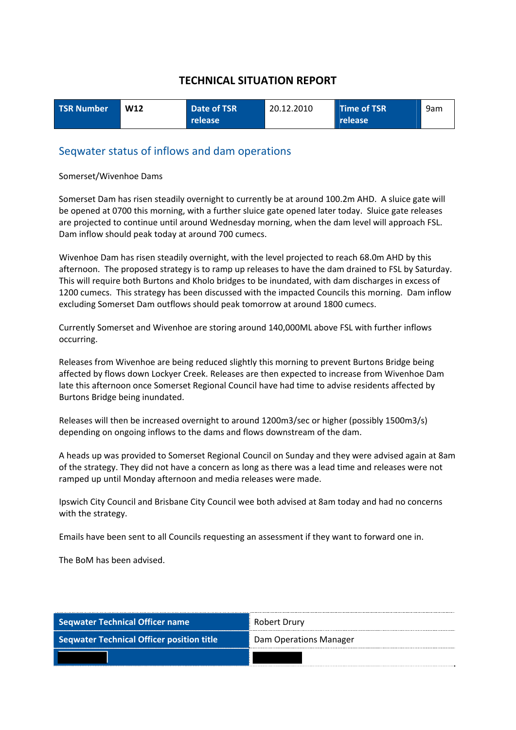| <b>TSR Number</b> | <b>W12</b> | Date of TSR      | 20.12.2010 | Time of TSR | 9am |
|-------------------|------------|------------------|------------|-------------|-----|
|                   |            | release <b>'</b> |            | release     |     |

#### Seqwater status of inflows and dam operations

#### Somerset/Wivenhoe Dams

Somerset Dam has risen steadily overnight to currently be at around 100.2m AHD. A sluice gate will be opened at 0700 this morning, with a further sluice gate opened later today. Sluice gate releases are projected to continue until around Wednesday morning, when the dam level will approach FSL. Dam inflow should peak today at around 700 cumecs.

Wivenhoe Dam has risen steadily overnight, with the level projected to reach 68.0m AHD by this afternoon. The proposed strategy is to ramp up releases to have the dam drained to FSL by Saturday. This will require both Burtons and Kholo bridges to be inundated, with dam discharges in excess of 1200 cumecs. This strategy has been discussed with the impacted Councils this morning. Dam inflow excluding Somerset Dam outflows should peak tomorrow at around 1800 cumecs.

Currently Somerset and Wivenhoe are storing around 140,000ML above FSL with further inflows occurring.

Releases from Wivenhoe are being reduced slightly this morning to prevent Burtons Bridge being affected by flows down Lockyer Creek. Releases are then expected to increase from Wivenhoe Dam late this afternoon once Somerset Regional Council have had time to advise residents affected by Burtons Bridge being inundated.

Releases will then be increased overnight to around 1200m3/sec or higher (possibly 1500m3/s) depending on ongoing inflows to the dams and flows downstream of the dam.

A heads up was provided to Somerset Regional Council on Sunday and they were advised again at 8am of the strategy. They did not have a concern as long as there was a lead time and releases were not ramped up until Monday afternoon and media releases were made.

Ipswich City Council and Brisbane City Council wee both advised at 8am today and had no concerns with the strategy.

Emails have been sent to all Councils requesting an assessment if they want to forward one in.

The BoM has been advised.

| Seqwater Technical Officer name                  | Robert Drury           |  |
|--------------------------------------------------|------------------------|--|
| <b>Seqwater Technical Officer position title</b> | Dam Operations Manager |  |
|                                                  |                        |  |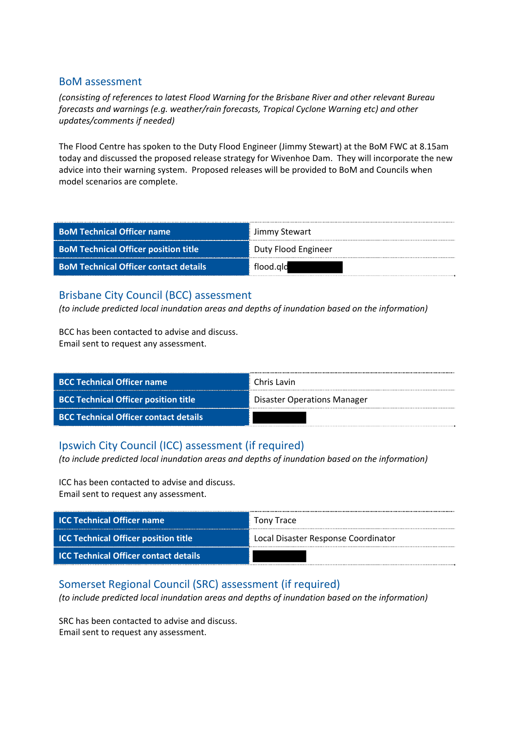#### BoM assessment

*(consisting of references to latest Flood Warning for the Brisbane River and other relevant Bureau forecasts and warnings (e.g. weather/rain forecasts, Tropical Cyclone Warning etc) and other updates/comments if needed)*

The Flood Centre has spoken to the Duty Flood Engineer (Jimmy Stewart) at the BoM FWC at 8.15am today and discussed the proposed release strategy for Wivenhoe Dam. They will incorporate the new advice into their warning system. Proposed releases will be provided to BoM and Councils when model scenarios are complete.

| <b>BoM Technical Officer name</b>            | Jimmy Stewart       |
|----------------------------------------------|---------------------|
| <b>BoM Technical Officer position title</b>  | Duty Flood Engineer |
| <b>BoM Technical Officer contact details</b> | flood.gld           |

### Brisbane City Council (BCC) assessment

*(to include predicted local inundation areas and depths of inundation based on the information)*

BCC has been contacted to advise and discuss. Email sent to request any assessment.

| <b>BCC Technical Officer name</b>            | Chris Lavin                        |
|----------------------------------------------|------------------------------------|
| <b>BCC Technical Officer position title</b>  | <b>Disaster Operations Manager</b> |
| <b>BCC Technical Officer contact details</b> |                                    |

# Ipswich City Council (ICC) assessment (if required)

*(to include predicted local inundation areas and depths of inundation based on the information)*

ICC has been contacted to advise and discuss. Email sent to request any assessment.

| <b>ICC Technical Officer name</b>            | Tony Trace                          |
|----------------------------------------------|-------------------------------------|
| <b>ICC Technical Officer position title</b>  | Local Disaster Response Coordinator |
| <b>ICC Technical Officer contact details</b> |                                     |

### Somerset Regional Council (SRC) assessment (if required)

*(to include predicted local inundation areas and depths of inundation based on the information)*

SRC has been contacted to advise and discuss. Email sent to request any assessment.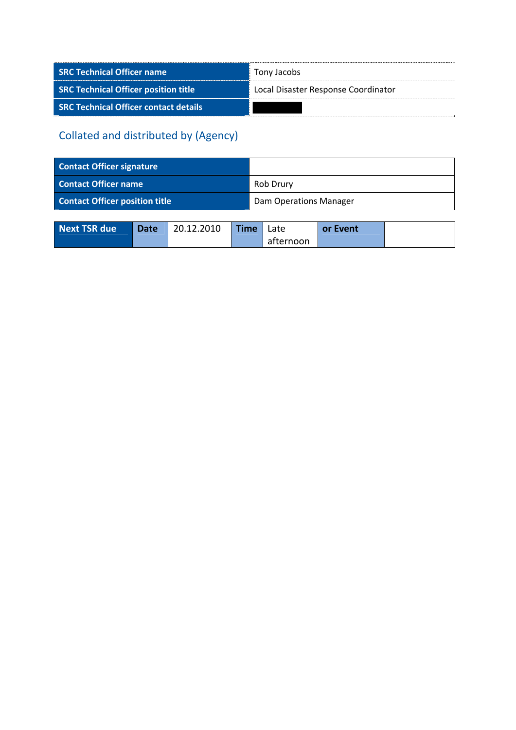| <b>SRC Technical Officer name</b>            | Tony Jacobs                         |  |  |
|----------------------------------------------|-------------------------------------|--|--|
| <b>SRC Technical Officer position title</b>  | Local Disaster Response Coordinator |  |  |
| <b>SRC Technical Officer contact details</b> |                                     |  |  |

| <b>Contact Officer signature</b>      |                               |
|---------------------------------------|-------------------------------|
| <b>Contact Officer name</b>           | Rob Drury                     |
| <b>Contact Officer position title</b> | <b>Dam Operations Manager</b> |

| Next TSR due | <b>Date</b> | 20.12.2010 | <b>Time</b> | Late      | or Event |  |
|--------------|-------------|------------|-------------|-----------|----------|--|
|              |             |            |             | afternoon |          |  |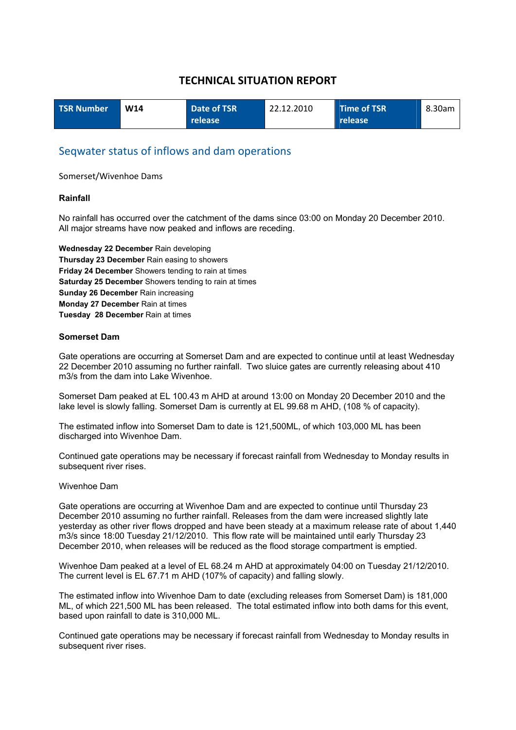| <b>TSR Number</b> | W14 | Date of TSR     | 22.12.2010 | Time of TSR    | 8.30am |
|-------------------|-----|-----------------|------------|----------------|--------|
|                   |     | <b>Trelease</b> |            | <b>release</b> |        |

#### Seqwater status of inflows and dam operations

Somerset/Wivenhoe Dams

#### **Rainfall**

No rainfall has occurred over the catchment of the dams since 03:00 on Monday 20 December 2010. All major streams have now peaked and inflows are receding.

**Wednesday 22 December** Rain developing **Thursday 23 December** Rain easing to showers **Friday 24 December** Showers tending to rain at times **Saturday 25 December** Showers tending to rain at times **Sunday 26 December** Rain increasing **Monday 27 December** Rain at times **Tuesday 28 December** Rain at times

#### **Somerset Dam**

Gate operations are occurring at Somerset Dam and are expected to continue until at least Wednesday 22 December 2010 assuming no further rainfall. Two sluice gates are currently releasing about 410 m3/s from the dam into Lake Wivenhoe.

Somerset Dam peaked at EL 100.43 m AHD at around 13:00 on Monday 20 December 2010 and the lake level is slowly falling. Somerset Dam is currently at EL 99.68 m AHD, (108 % of capacity).

The estimated inflow into Somerset Dam to date is 121,500ML, of which 103,000 ML has been discharged into Wivenhoe Dam.

Continued gate operations may be necessary if forecast rainfall from Wednesday to Monday results in subsequent river rises.

#### Wivenhoe Dam

Gate operations are occurring at Wivenhoe Dam and are expected to continue until Thursday 23 December 2010 assuming no further rainfall. Releases from the dam were increased slightly late yesterday as other river flows dropped and have been steady at a maximum release rate of about 1,440 m3/s since 18:00 Tuesday 21/12/2010. This flow rate will be maintained until early Thursday 23 December 2010, when releases will be reduced as the flood storage compartment is emptied.

Wivenhoe Dam peaked at a level of EL 68.24 m AHD at approximately 04:00 on Tuesday 21/12/2010. The current level is EL 67.71 m AHD (107% of capacity) and falling slowly.

The estimated inflow into Wivenhoe Dam to date (excluding releases from Somerset Dam) is 181,000 ML, of which 221,500 ML has been released. The total estimated inflow into both dams for this event, based upon rainfall to date is 310,000 ML.

Continued gate operations may be necessary if forecast rainfall from Wednesday to Monday results in subsequent river rises.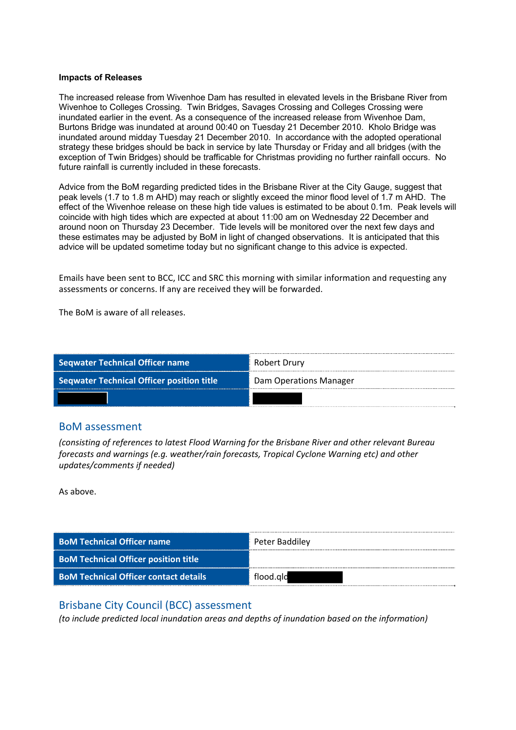#### **Impacts of Releases**

The increased release from Wivenhoe Dam has resulted in elevated levels in the Brisbane River from Wivenhoe to Colleges Crossing. Twin Bridges, Savages Crossing and Colleges Crossing were inundated earlier in the event. As a consequence of the increased release from Wivenhoe Dam, Burtons Bridge was inundated at around 00:40 on Tuesday 21 December 2010. Kholo Bridge was inundated around midday Tuesday 21 December 2010. In accordance with the adopted operational strategy these bridges should be back in service by late Thursday or Friday and all bridges (with the exception of Twin Bridges) should be trafficable for Christmas providing no further rainfall occurs. No future rainfall is currently included in these forecasts.

Advice from the BoM regarding predicted tides in the Brisbane River at the City Gauge, suggest that peak levels (1.7 to 1.8 m AHD) may reach or slightly exceed the minor flood level of 1.7 m AHD. The effect of the Wivenhoe release on these high tide values is estimated to be about 0.1m. Peak levels will coincide with high tides which are expected at about 11:00 am on Wednesday 22 December and around noon on Thursday 23 December. Tide levels will be monitored over the next few days and these estimates may be adjusted by BoM in light of changed observations. It is anticipated that this advice will be updated sometime today but no significant change to this advice is expected.

Emails have been sent to BCC, ICC and SRC this morning with similar information and requesting any assessments or concerns. If any are received they will be forwarded.

The BoM is aware of all releases.

| Seqwater Technical Officer name                  | Robert Drury           |  |  |
|--------------------------------------------------|------------------------|--|--|
| <b>Seqwater Technical Officer position title</b> | Dam Operations Manager |  |  |
|                                                  |                        |  |  |

#### BoM assessment

*(consisting of references to latest Flood Warning for the Brisbane River and other relevant Bureau forecasts and warnings (e.g. weather/rain forecasts, Tropical Cyclone Warning etc) and other updates/comments if needed)*

As above.

| <b>BoM Technical Officer name</b>            | Peter Baddiley |
|----------------------------------------------|----------------|
| <b>BoM Technical Officer position title</b>  |                |
| <b>BoM Technical Officer contact details</b> | flood.ald      |

#### Brisbane City Council (BCC) assessment

*(to include predicted local inundation areas and depths of inundation based on the information)*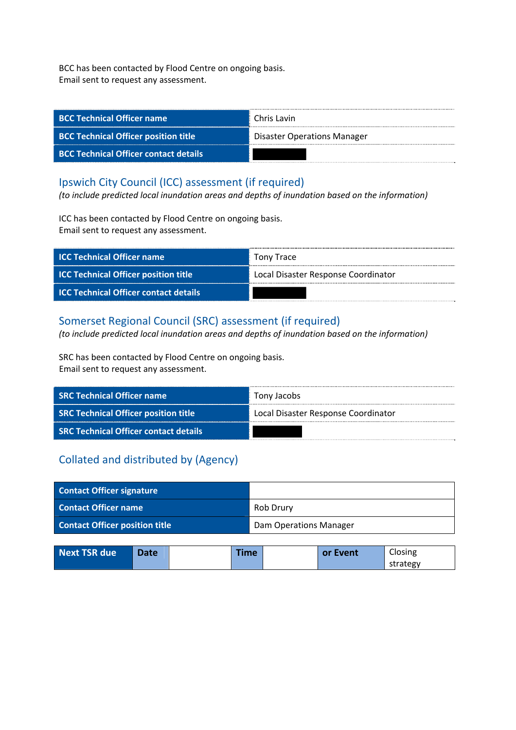BCC has been contacted by Flood Centre on ongoing basis. Email sent to request any assessment.

| <b>BCC Technical Officer name</b>            | Chris Lavin                        |
|----------------------------------------------|------------------------------------|
| <b>BCC Technical Officer position title</b>  | <b>Disaster Operations Manager</b> |
| <b>BCC Technical Officer contact details</b> |                                    |

### Ipswich City Council (ICC) assessment (if required)

*(to include predicted local inundation areas and depths of inundation based on the information)*

ICC has been contacted by Flood Centre on ongoing basis. Email sent to request any assessment.

| <b>ICC Technical Officer name</b>            | Tony Trace                          |
|----------------------------------------------|-------------------------------------|
| <b>ICC Technical Officer position title</b>  | Local Disaster Response Coordinator |
| <b>ICC Technical Officer contact details</b> |                                     |

## Somerset Regional Council (SRC) assessment (if required)

*(to include predicted local inundation areas and depths of inundation based on the information)*

SRC has been contacted by Flood Centre on ongoing basis. Email sent to request any assessment.

| <b>SRC Technical Officer name</b>            | Tony Jacobs                         |  |  |
|----------------------------------------------|-------------------------------------|--|--|
| <b>SRC Technical Officer position title</b>  | Local Disaster Response Coordinator |  |  |
| <b>SRC Technical Officer contact details</b> |                                     |  |  |

| <b>Contact Officer signature</b>      |                               |
|---------------------------------------|-------------------------------|
| <b>Contact Officer name</b>           | Rob Drury                     |
| <b>Contact Officer position title</b> | <b>Dam Operations Manager</b> |

| Next TSR due | Date | <b>Fime</b> | <b>or Event</b> | Closing  |
|--------------|------|-------------|-----------------|----------|
|              |      |             |                 | strategy |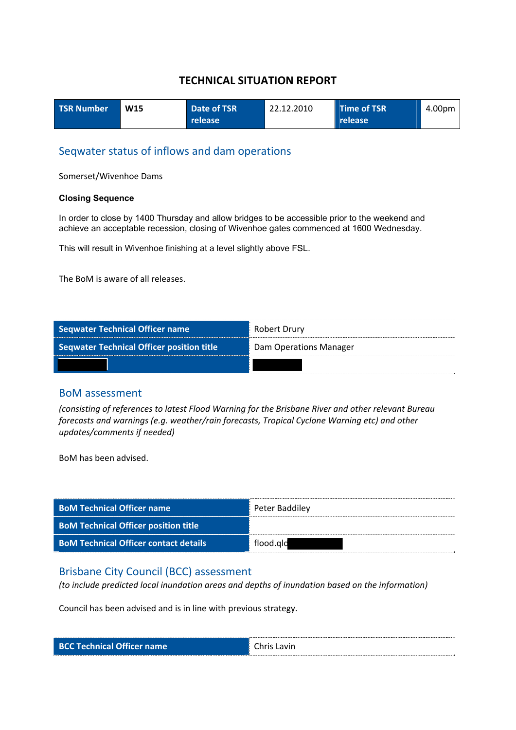| <b>TSR Number</b> | W <sub>15</sub> | Date of TSR | 22.12.2010 | Time of TSR | 4.00pm |
|-------------------|-----------------|-------------|------------|-------------|--------|
|                   |                 | release     |            | release     |        |

### Seqwater status of inflows and dam operations

Somerset/Wivenhoe Dams

#### **Closing Sequence**

In order to close by 1400 Thursday and allow bridges to be accessible prior to the weekend and achieve an acceptable recession, closing of Wivenhoe gates commenced at 1600 Wednesday.

This will result in Wivenhoe finishing at a level slightly above FSL.

The BoM is aware of all releases.

| <b>Seqwater Technical Officer name</b>           | Robert Drury           |
|--------------------------------------------------|------------------------|
| <b>Seqwater Technical Officer position title</b> | Dam Operations Manager |
|                                                  |                        |

#### BoM assessment

*(consisting of references to latest Flood Warning for the Brisbane River and other relevant Bureau forecasts and warnings (e.g. weather/rain forecasts, Tropical Cyclone Warning etc) and other updates/comments if needed)*

BoM has been advised.

| <b>BoM Technical Officer name</b>            | Peter Baddiley |
|----------------------------------------------|----------------|
| <b>BoM Technical Officer position title</b>  |                |
| <b>BoM Technical Officer contact details</b> | flood.ald      |

#### Brisbane City Council (BCC) assessment

*(to include predicted local inundation areas and depths of inundation based on the information)*

Council has been advised and is in line with previous strategy.

|  | <b>BCC Technical Officer name</b> |  |  |  |
|--|-----------------------------------|--|--|--|
|--|-----------------------------------|--|--|--|

**Chris Lavin**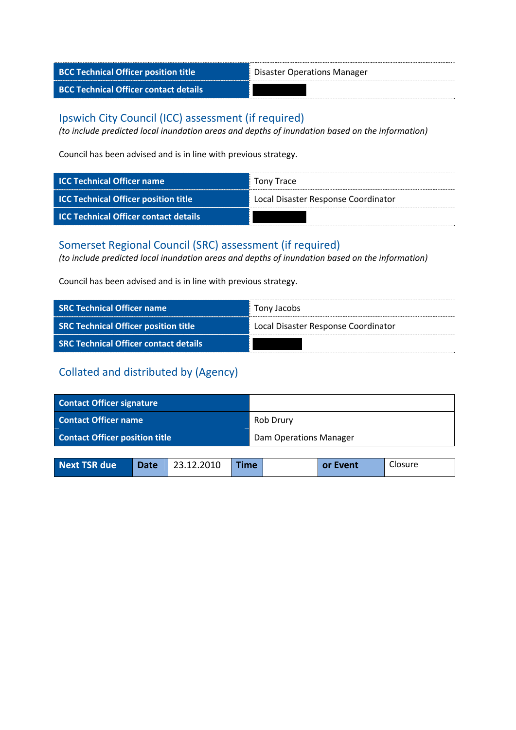| <b>BCC Technical Officer position title</b>  | Disaster Operations Manager |
|----------------------------------------------|-----------------------------|
| <b>BCC Technical Officer contact details</b> |                             |

### Ipswich City Council (ICC) assessment (if required)

*(to include predicted local inundation areas and depths of inundation based on the information)*

Council has been advised and is in line with previous strategy.

| <b>ICC Technical Officer name</b>            | Tony Trace                          |
|----------------------------------------------|-------------------------------------|
| <b>ICC Technical Officer position title</b>  | Local Disaster Response Coordinator |
| <b>ICC Technical Officer contact details</b> |                                     |

## Somerset Regional Council (SRC) assessment (if required)

*(to include predicted local inundation areas and depths of inundation based on the information)*

Council has been advised and is in line with previous strategy.

| <b>SRC Technical Officer name</b>            | Tony Jacobs                         |
|----------------------------------------------|-------------------------------------|
| <b>SRC Technical Officer position title</b>  | Local Disaster Response Coordinator |
| <b>SRC Technical Officer contact details</b> |                                     |

| <b>Contact Officer signature</b>      |                               |  |
|---------------------------------------|-------------------------------|--|
| <b>Contact Officer name</b>           | Rob Drury                     |  |
| <b>Contact Officer position title</b> | <b>Dam Operations Manager</b> |  |

| <b>Next TSR due</b> | Date 23.12.2010 | <b>Time</b> | or Event | Closure |
|---------------------|-----------------|-------------|----------|---------|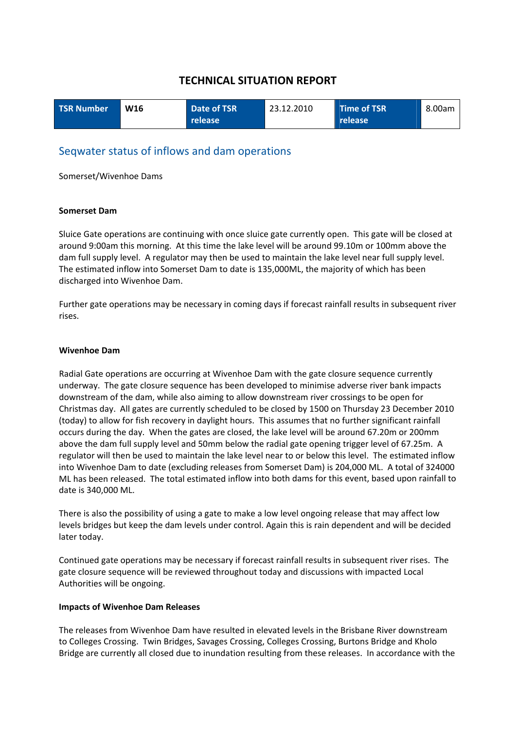| <b>TSR Number</b> | W <sub>16</sub> | Date of TSR | 23.12.2010 | <b>Time of TSR</b> | 8.00am |
|-------------------|-----------------|-------------|------------|--------------------|--------|
|                   |                 | release     |            | release            |        |

### Seqwater status of inflows and dam operations

Somerset/Wivenhoe Dams

#### **Somerset Dam**

Sluice Gate operations are continuing with once sluice gate currently open. This gate will be closed at around 9:00am this morning. At this time the lake level will be around 99.10m or 100mm above the dam full supply level. A regulator may then be used to maintain the lake level near full supply level. The estimated inflow into Somerset Dam to date is 135,000ML, the majority of which has been discharged into Wivenhoe Dam.

Further gate operations may be necessary in coming days if forecast rainfall results in subsequent river rises.

#### **Wivenhoe Dam**

Radial Gate operations are occurring at Wivenhoe Dam with the gate closure sequence currently underway. The gate closure sequence has been developed to minimise adverse river bank impacts downstream of the dam, while also aiming to allow downstream river crossings to be open for Christmas day. All gates are currently scheduled to be closed by 1500 on Thursday 23 December 2010 (today) to allow for fish recovery in daylight hours. This assumes that no further significant rainfall occurs during the day. When the gates are closed, the lake level will be around 67.20m or 200mm above the dam full supply level and 50mm below the radial gate opening trigger level of 67.25m. A regulator will then be used to maintain the lake level near to or below this level. The estimated inflow into Wivenhoe Dam to date (excluding releases from Somerset Dam) is 204,000 ML. A total of 324000 ML has been released. The total estimated inflow into both dams for this event, based upon rainfall to date is 340,000 ML.

There is also the possibility of using a gate to make a low level ongoing release that may affect low levels bridges but keep the dam levels under control. Again this is rain dependent and will be decided later today.

Continued gate operations may be necessary if forecast rainfall results in subsequent river rises. The gate closure sequence will be reviewed throughout today and discussions with impacted Local Authorities will be ongoing.

#### **Impacts of Wivenhoe Dam Releases**

The releases from Wivenhoe Dam have resulted in elevated levels in the Brisbane River downstream to Colleges Crossing. Twin Bridges, Savages Crossing, Colleges Crossing, Burtons Bridge and Kholo Bridge are currently all closed due to inundation resulting from these releases. In accordance with the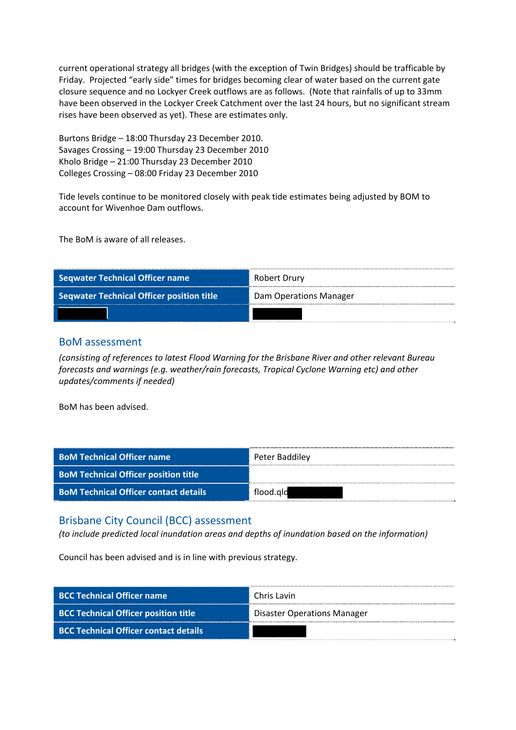current operational strategy all bridges (with the exception of Twin Bridges) should be trafficable by Friday. Projected "early side" times for bridges becoming clear of water based on the current gate closure sequence and no Lockyer Creek outflows are as follows. (Note that rainfalls of up to 33mm have been observed in the Lockyer Creek Catchment over the last 24 hours, but no significant stream rises have been observed as yet). These are estimates only.

Burtons Bridge – 18:00 Thursday 23 December 2010. Savages Crossing – 19:00 Thursday 23 December 2010 Kholo Bridge – 21:00 Thursday 23 December 2010 Colleges Crossing – 08:00 Friday 23 December 2010

Tide levels continue to be monitored closely with peak tide estimates being adjusted by BOM to account for Wivenhoe Dam outflows.

The BoM is aware of all releases.

| <b>Seqwater Technical Officer name</b>           | Robert Drury           |
|--------------------------------------------------|------------------------|
| <b>Seqwater Technical Officer position title</b> | Dam Operations Manager |
|                                                  |                        |

#### BoM assessment

*(consisting of references to latest Flood Warning for the Brisbane River and other relevant Bureau forecasts and warnings (e.g. weather/rain forecasts, Tropical Cyclone Warning etc) and other updates/comments if needed)*

BoM has been advised.

| <b>BoM Technical Officer name</b>            | Peter Baddiley |
|----------------------------------------------|----------------|
| <b>BoM Technical Officer position title</b>  |                |
| <b>BoM Technical Officer contact details</b> | flood.ald      |

#### Brisbane City Council (BCC) assessment

*(to include predicted local inundation areas and depths of inundation based on the information)*

Council has been advised and is in line with previous strategy.

| BCC Technical Officer name            | Chris Lavin                        |
|---------------------------------------|------------------------------------|
| BCC Technical Officer position title  | <b>Disaster Operations Manager</b> |
| BCC Technical Officer contact details |                                    |